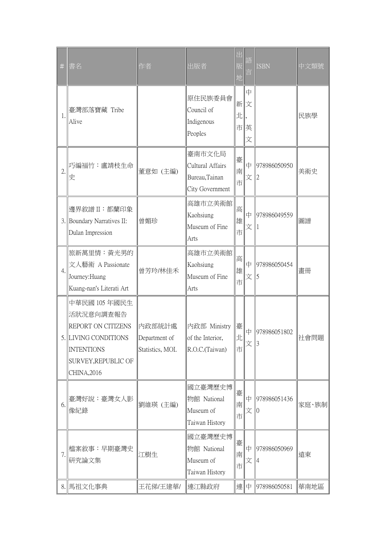| $\#$ | 書名                                                                                                                                 | 作者                                          | 出版者                                                             | 出<br>版<br>地 | 詒                    | <b>ISBN</b>  | 中文類號  |
|------|------------------------------------------------------------------------------------------------------------------------------------|---------------------------------------------|-----------------------------------------------------------------|-------------|----------------------|--------------|-------|
| 1.   | 臺灣部落寶藏 Tribe<br>Alive                                                                                                              |                                             | 原住民族委員會<br>Council of<br>Indigenous<br>Peoples                  | 北           | 中<br>新文<br>市  英<br>文 |              | 民族學   |
| 2.   | 巧編福竹:盧靖枝生命<br>史                                                                                                                    | 董意如 (主編)                                    | 臺南市文化局<br>Cultural Affairs<br>Bureau, Tainan<br>City Government | 臺<br>南<br>市 | 中<br>文               | 978986050950 | 美術史   |
|      | 邊界敘譜 II:都蘭印象<br>3. Boundary Narratives II:<br>Dulan Impression                                                                     | 曾媚珍                                         | 高雄市立美術館<br>Kaohsiung<br>Museum of Fine<br>Arts                  | 高<br>雄<br>市 | 中<br>文               | 978986049559 | 圖譜    |
| 4.   | 旅新萬里情:黃光男的<br>文人藝術 A Passionate<br>Journey: Huang<br>Kuang-nan's Literati Art                                                      | 曾芳玲/林佳禾                                     | 高雄市立美術館<br>Kaohsiung<br>Museum of Fine<br>Arts                  | 高<br>雄<br>市 | 中<br>文               | 978986050454 | 畫冊    |
|      | 中華民國 105年國民生<br>活狀況意向調查報告<br>REPORT ON CITIZENS<br>5. LIVING CONDITIONS<br><b>INTENTIONS</b><br>SURVEY, REPUBLIC OF<br>CHINA, 2016 | 内政部統計處<br>Department of<br>Statistics, MOI. | 內政部 Ministry<br>of the Interior,<br>R.O.C.(Taiwan)              | 臺<br>Œ<br>市 | 中<br> 文  3           | 978986051802 | 社會問題  |
| 6.   | 臺灣好說:臺灣女人影<br>像紀錄                                                                                                                  | 劉維瑛 (主編)                                    | 國立臺灣歷史博<br>物館 National<br>Museum of<br>Taiwan History           | 臺<br>南<br>市 | 中<br>文               | 978986051436 | 家庭、族制 |
| 7.   | 檔案敘事:早期臺灣史<br>研究論文集                                                                                                                | 江樹生                                         | 國立臺灣歷史博<br>物館 National<br>Museum of<br>Taiwan History           | 臺<br>南<br>市 | 中<br>文               | 978986050969 | 遠東    |
|      | 8. 馬祖文化事典                                                                                                                          | 王花俤/王建華/                                    | 連江縣政府                                                           |             | ା連∥中                 | 978986050581 | 華南地區  |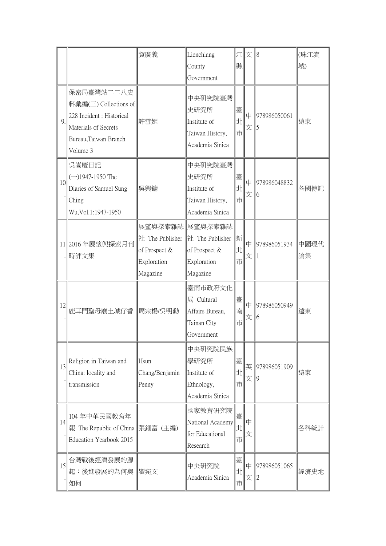|    |                                                                                                                               | 賀廣義                                                         | Lienchiang                                                                      |             | 江  文   8                            |                    | (珠江流       |
|----|-------------------------------------------------------------------------------------------------------------------------------|-------------------------------------------------------------|---------------------------------------------------------------------------------|-------------|-------------------------------------|--------------------|------------|
|    |                                                                                                                               |                                                             | County<br>Government                                                            | 縣           |                                     |                    | 域)         |
| 9. | 保密局臺灣站二二八史<br>料彙編(三) Collections of<br>228 Incident : Historical<br>Materials of Secrets<br>Bureau, Taiwan Branch<br>Volume 3 | 許雪姬                                                         | 中央研究院臺灣<br>史研究所<br>Institute of<br>Taiwan History,<br>Academia Sinica           | 臺<br>北<br>市 | $\vert \mp$<br>文                    | 978986050061<br>5  | 遠東         |
| 10 | 吳嵩慶日記<br>$(-)1947-1950$ The<br>Diaries of Samuel Sung<br>Ching<br>Wu, Vol.1:1947-1950                                         | 吳興鏞                                                         | 中央研究院臺灣<br>史研究所<br>Institute of<br>Taiwan History,<br>Academia Sinica           | 臺<br>北<br>市 | $\vert \mp$<br>文                    | 978986048832<br>6  | 各國傳記       |
|    | 11 2016 年展望與探索月刊<br>  時評文集                                                                                                    | 社 The Publisher<br>of Prospect &<br>Exploration<br>Magazine | 展望與探索雜誌 展望與探索雜誌<br> 社 The Publisher<br>of Prospect &<br>Exploration<br>Magazine | 新<br>北<br>市 | $\vert \bm{\mathrm{\uparrow}}$<br>文 | 978986051934<br>11 | 中國現代<br>論集 |
| 12 | 鹿耳門聖母廟土城仔香  周宗楊/吳明勳                                                                                                           |                                                             | 臺南市政府文化<br>局 Cultural<br>Affairs Bureau,<br>Tainan City<br>Government           | 臺<br>南<br>市 | 中<br>文                              | 978986050949<br>16 | 遠東         |
| 13 | Religion in Taiwan and<br>China: locality and<br>transmission                                                                 | Hsun<br>Chang/Benjamin<br>Penny                             | 中央研究院民族 <br>學研究所<br>Institute of<br>Ethnology,<br>Academia Sinica               | 臺<br>北<br>市 | 英<br>文                              | 978986051909<br>9  | 遠東         |
| 14 | 104年中華民國教育年<br>報 The Republic of China   張鈿富 (主編)<br>Education Yearbook 2015                                                  |                                                             | 國家教育研究院<br>National Academy<br>for Educational<br>Research                      | 臺<br>Ŀ<br>市 | $\vert \mp$<br>文                    |                    | 各科統計       |
| 15 | 台灣戰後經濟發展的源<br>起:後進發展的為何與<br>如何                                                                                                | 瞿宛文                                                         | 中央研究院<br>Academia Sinica                                                        | 臺<br>北<br>市 | 中<br>文                              | 978986051065<br>12 | 經濟史地       |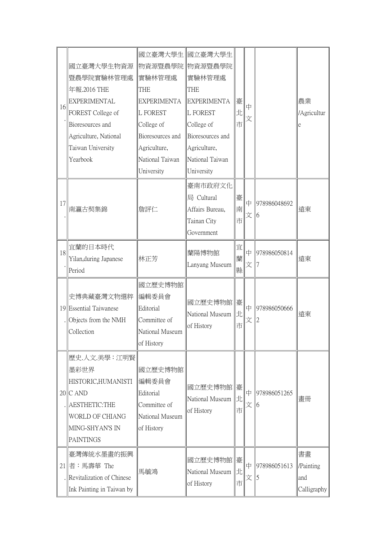| 16 | 國立臺灣大學生物資源<br>暨農學院實驗林管理處<br>年報.2016 THE<br><b>EXPERIMENTAL</b><br>FOREST College of<br>Bioresources and<br>Agriculture, National<br>Taiwan University<br>Yearbook | 國立臺灣大學生 國立臺灣大學生<br>物資源暨農學院 物資源暨農學院<br>實驗林管理處<br><b>THE</b><br><b>EXPERIMENTA</b><br><b>L FOREST</b><br>College of<br>Bioresources and<br>Agriculture,<br>National Taiwan<br>University | 實驗林管理處<br>THE<br><b>EXPERIMENTA</b><br><b>L FOREST</b><br>College of<br>Bioresources and<br>Agriculture,<br>National Taiwan<br>University | 臺<br>北<br>市 | 中<br>文 |                    | 農業<br>/Agricultur<br>e                |
|----|-------------------------------------------------------------------------------------------------------------------------------------------------------------------|----------------------------------------------------------------------------------------------------------------------------------------------------------------------------------------|-------------------------------------------------------------------------------------------------------------------------------------------|-------------|--------|--------------------|---------------------------------------|
| 17 | 南瀛古契集錦                                                                                                                                                            | 詹評仁                                                                                                                                                                                    | 臺南市政府文化<br>局 Cultural<br>Affairs Bureau,<br>Tainan City<br>Government                                                                     | 臺<br>南<br>市 | 中<br>文 | 978986048692<br>16 | 遠東                                    |
| 18 | 宜蘭的日本時代<br>Yilan, during Japanese<br>Period                                                                                                                       | 林正芳                                                                                                                                                                                    | 蘭陽博物館<br>Lanyang Museum                                                                                                                   | 宜<br>蘭<br>縣 | 中<br>文 | 978986050814       | 遠東                                    |
|    | 史博典藏臺灣文物選粹<br>19 Essential Taiwanese<br>Objects from the NMH<br>Collection                                                                                        | 國立歷史博物館<br>編輯委員會<br>Editorial<br>Committee of<br>National Museum<br>of History                                                                                                         | 國立歷史博物館 臺<br>National Museum<br>of History                                                                                                | lldel<br>市  | 中      | 978986050666       | 遠東                                    |
|    | 歷史.人文.美學:江明賢<br>墨彩世界<br>HISTORIC, HUMANISTI<br>$20$ C AND<br>AESTHETIC:THE<br><b>WORLD OF CHIANG</b><br>MING-SHYAN'S IN<br><b>PAINTINGS</b>                       | 國立歷史博物館<br>編輯委員會<br>Editorial<br>Committee of<br>National Museum<br>of History                                                                                                         | 國立歷史博物館  臺<br>National Museum<br>of History                                                                                               | IJĿ<br>市    | 中<br>文 | 978986051265<br>16 | 畫冊                                    |
|    | 臺灣傳統水墨畫的振興<br>$21$ 者:馬壽華 The<br>. Revitalization of Chinese<br>Ink Painting in Taiwan by                                                                          | 馬毓鴻                                                                                                                                                                                    | 國立歷史博物館  臺<br>National Museum<br>of History                                                                                               | 肛<br>市      | 中<br>文 | 978986051613<br>5  | 書畫<br>/Painting<br>and<br>Calligraphy |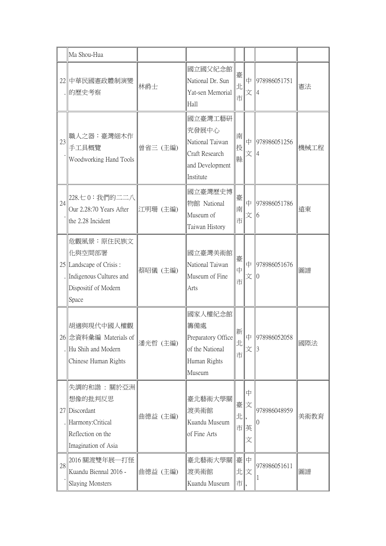|    | Ma Shou-Hua                                                                                                     |          |                                                                                       |                |                     |                               |      |
|----|-----------------------------------------------------------------------------------------------------------------|----------|---------------------------------------------------------------------------------------|----------------|---------------------|-------------------------------|------|
|    | 22 中華民國憲政體制演變<br> 的歷史考察                                                                                         | 林爵士      | 國立國父紀念館<br>National Dr. Sun<br>Yat-sen Memorial<br>Hall                               | 臺<br>北<br>市    | 中<br>文              | 978986051751<br>4             | 憲法   |
| 23 | 職人之器:臺灣細木作<br>手工具概覽<br>Woodworking Hand Tools                                                                   | 曾省三 (主編) | 國立臺灣工藝研<br>究發展中心<br>National Taiwan<br>Craft Research<br>and Development<br>Institute | 南<br>投<br>縣    | 中<br>文              | 978986051256                  | 機械工程 |
| 24 | 228.七0:我們的二二八<br>Our 2.28:70 Years After<br>the 2.28 Incident                                                   | 江明珊 (主編) | 國立臺灣歷史博<br>物館 National<br>Museum of<br>Taiwan History                                 | 臺<br>南<br>市    | 中<br>文              | 978986051786<br>6             | 遠東   |
|    | 危觀風景:原住民族文<br>化與空間部署<br>$25$   Landscape of Crisis:<br>Indigenous Cultures and<br>Dispositif of Modern<br>Space | 蔡昭儀 (主編) | 國立臺灣美術館<br>National Taiwan<br>Museum of Fine<br>Arts                                  | 臺<br>中<br>市    | 中<br>文              | 978986051676                  | 圖譜   |
|    | 胡適與現代中國人權觀<br>26 念資料彙編 Materials of<br>. Hu Shih and Modern<br>Chinese Human Rights                             | 潘光哲 (主編) | 國家人權紀念館<br>籌備處<br>Preparatory Office<br>of the National<br>Human Rights<br>Museum     | 新<br> Jt <br>市 | 文                   | $\uparrow$ 978986052058<br>13 | 國際法  |
|    | 失調的和諧:關於亞洲<br>想像的批判反思<br>27 Discordant<br>. Harmony: Critical<br>Reflection on the<br>Imagination of Asia       | 曲德益 (主編) | 臺北藝術大學關<br>渡美術館<br>Kuandu Museum<br>of Fine Arts                                      | 臺<br>北         | 中<br>文<br>市  英<br>文 | 978986048959                  | 美術教育 |
| 28 | 2016 關渡雙年展一打怪<br>Kuandu Biennal 2016 -<br>Slaying Monsters                                                      | 曲德益 (主編) | 臺北藝術大學關 臺<br>渡美術館<br>Kuandu Museum                                                    | 北  文<br> 市     | 中                   | 978986051611                  | 圖譜   |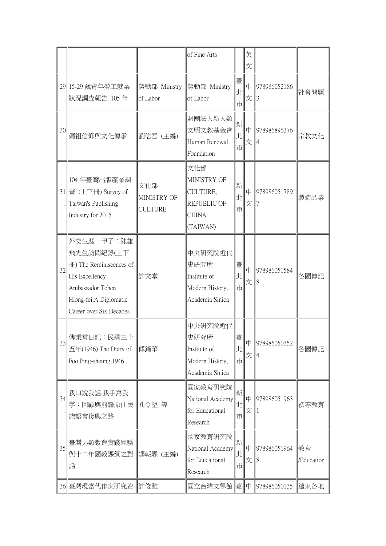|    |                                                                                                                                                   |                                      | of Fine Arts                                                              |             | 英<br>文                          |                    |                  |
|----|---------------------------------------------------------------------------------------------------------------------------------------------------|--------------------------------------|---------------------------------------------------------------------------|-------------|---------------------------------|--------------------|------------------|
|    | 29 15-29 歲青年勞工就業<br>狀況調查報告. 105年                                                                                                                  | 勞動部 Ministry<br>of Labor             | 勞動部 Ministry<br>of Labor                                                  | 臺<br>北<br>市 | 中<br>文                          | 978986052186<br>13 | 社會問題             |
| 30 | 媽祖信仰與文化傳承                                                                                                                                         | 劉信吾 (主編)                             | 財團法人新人類<br>文明文教基金會<br>Human Renewal<br>Foundation                         | 新<br>北<br>市 | $\mathbb{P}$<br>文               | 978986896376       | 宗教文化             |
|    | 104年臺灣出版產業調<br>31 查 (上下冊) Survey of<br>Taiwan's Publishing<br>Industry for 2015                                                                   | 文化部<br>MINISTRY OF<br><b>CULTURE</b> | 文化部<br>MINISTRY OF<br>CULTURE,<br>REPUBLIC OF<br><b>CHINA</b><br>(TAIWAN) | 新<br>北<br>市 | $\vert \bm{\mathrm{\psi}}$<br>文 | 978986051789       | 製造品業             |
| 32 | 外交生涯一甲子:陳雄<br>飛先生訪問紀錄(上下<br>fff) The Reminiscences of<br>His Excellency<br>Ambassador Tchen<br>Hiong-fei: A Diplomatic<br>Career over Six Decades | 許文堂                                  | 中央研究院近代<br>史研究所<br>Institute of<br>Modern History,<br>Academia Sinica     | 臺<br>北<br>市 | 中<br>文                          | 978986051584<br>18 | 各國傳記             |
| 33 | 傅秉常日記:民國三十<br>$E4(1946)$ The Diary of<br>Foo Ping-sheung, 1946                                                                                    | 傅錡華                                  | 中央研究院近代<br>史研究所<br>Institute of<br>Modern History,<br>Academia Sinica     | 臺<br>北<br>市 | l中<br>文                         | 978986050352       | 各國傳記             |
| 34 | 我口說我話,我手寫我<br>字:回顧與前瞻原住民  孔令堅 等<br>族語言復興之路                                                                                                        |                                      | 國家教育研究院<br>National Academy<br>for Educational<br>Research                | 新<br>北<br>市 | l中<br>文                         | 978986051963       | 初等教育             |
| 35 | 臺灣另類教育實踐經驗<br>與十二年國教課綱之對<br>話                                                                                                                     | 馮朝霖 (主編)                             | 國家教育研究院<br>National Academy<br>for Educational<br>Research                | 新<br>北<br>市 | $\mathbb{P}$<br>文               | 978986051964<br>18 | 教育<br>/Education |
|    | 36 臺灣現當代作家研究資                                                                                                                                     | 許俊雅                                  | 國立台灣文學館 臺                                                                 |             | $ \Psi $                        | 978986050135       | 遠東各地             |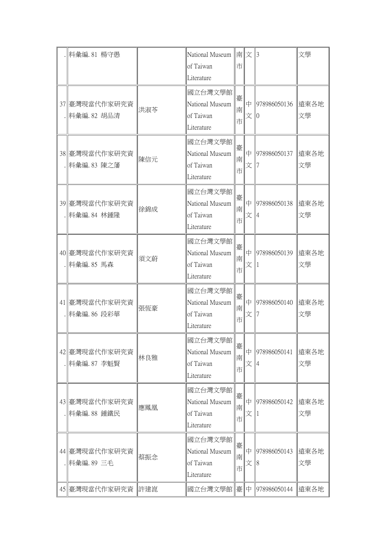| 料彙編.81 楊守愚                     |     | National Museum   南  文   3<br>of Taiwan<br>Literature | 市           |              |                    | 文學         |
|--------------------------------|-----|-------------------------------------------------------|-------------|--------------|--------------------|------------|
| 37 臺灣現當代作家研究資<br>.  料彙編.82 胡品清 | 洪淑苓 | 國立台灣文學館<br>National Museum<br>of Taiwan<br>Literature | 臺<br>南<br>市 | 中<br>文       | 978986050136       | 遠東各地<br>文學 |
| 38 臺灣現當代作家研究資<br> 料彙編.83 陳之藩   | 陳信元 | 國立台灣文學館<br>National Museum<br>of Taiwan<br>Literature | 臺<br>南<br>市 | 中<br>文       | 978986050137       | 遠東各地<br>文學 |
| 39 臺灣現當代作家研究資<br> 料彙編.84 林鍾隆   | 徐錦成 | 國立台灣文學館<br>National Museum<br>of Taiwan<br>Literature | 臺<br>南<br>市 | 中<br>文       | 978986050138       | 遠東各地<br>文學 |
| 40 臺灣現當代作家研究資<br>.  料彙編.85 馬森  | 須文蔚 | 國立台灣文學館<br>National Museum<br>of Taiwan<br>Literature | 臺<br>南<br>市 | 中<br>文       | 978986050139       | 遠東各地<br>文學 |
| 41 臺灣現當代作家研究資<br>.  料彙編.86 段彩華 | 張恆豪 | 國立台灣文學館<br>National Museum<br>of Taiwan<br>Literature | 臺<br>南<br>市 | 中<br>文       | 978986050140       | 遠東各地<br>文學 |
| 42 臺灣現當代作家研究資<br>料彙編.87 李魁賢    | 林良雅 | 國立台灣文學館<br>National Museum<br>of Taiwan<br>Literature | 臺<br>南<br>市 | 中<br>文       | 978986050141       | 遠東各地<br>文學 |
| 43 臺灣現當代作家研究資<br>料彙編.88 鍾鐵民    | 應鳳凰 | 國立台灣文學館<br>National Museum<br>of Taiwan<br>Literature | 臺<br>南<br>市 | 中<br>文       | 978986050142       | 遠東各地<br>文學 |
| 44  臺灣現當代作家研究資<br>  料彙編.89 三毛  | 蔡振念 | 國立台灣文學館<br>National Museum<br>of Taiwan<br>Literature | 臺<br>南<br>市 | 中<br>文       | 978986050143<br>18 | 遠東各地<br>文學 |
| 45 臺灣現當代作家研究資                  | 許建崑 | 國立台灣文學館                                               | 臺           | $\mathbb{P}$ | 978986050144       | 遠東各地       |